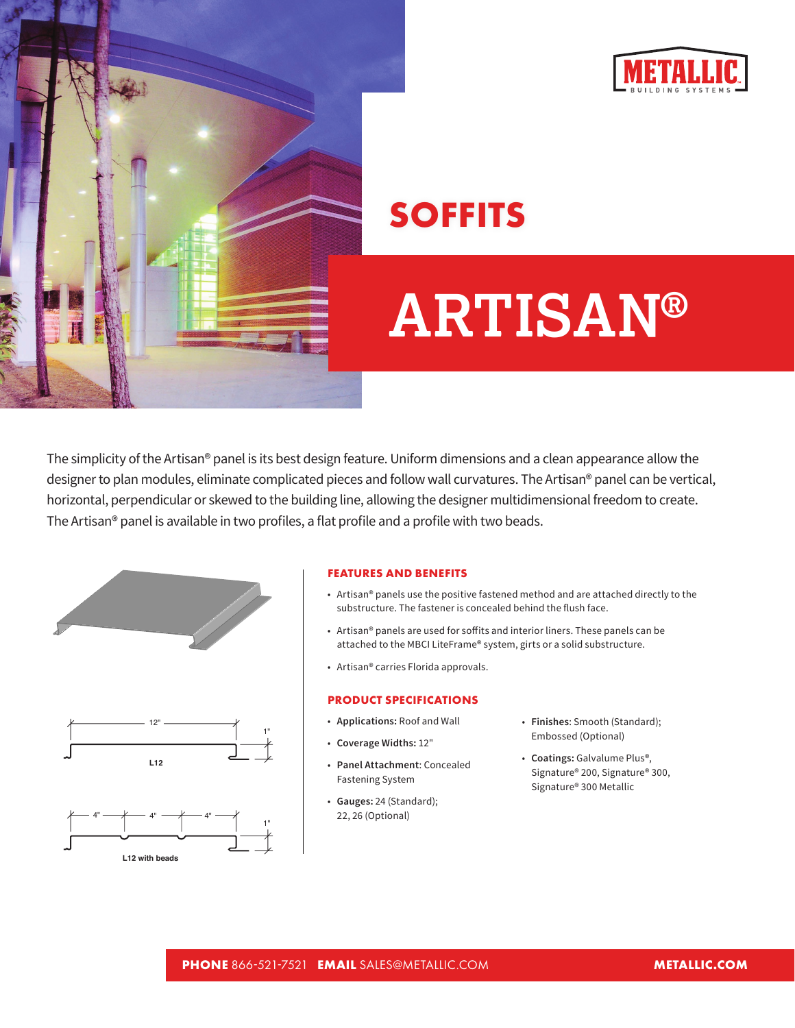



## **SOFFITS**

# **ARTISAN®**

The simplicity of the Artisan® panel is its best design feature. Uniform dimensions and a clean appearance allow the designer to plan modules, eliminate complicated pieces and follow wall curvatures. The Artisan® panel can be vertical, horizontal, perpendicular or skewed to the building line, allowing the designer multidimensional freedom to create. The Artisan® panel is available in two profiles, a flat profile and a profile with two beads.



**L12 with beads**



- Artisan® panels use the positive fastened method and are attached directly to the substructure. The fastener is concealed behind the flush face.
- Artisan® panels are used for soffits and interior liners. These panels can be attached to the MBCI LiteFrame® system, girts or a solid substructure.
- Artisan® carries Florida approvals.

### **PRODUCT SPECIFICATIONS**

- **Applications:** Roof and Wall
- **Coverage Widths:** 12"
- **Panel Attachment**: Concealed Fastening System
- **Gauges:** 24 (Standard); 22, 26 (Optional)
- **Finishes**: Smooth (Standard); Embossed (Optional)
- **Coatings:** Galvalume Plus®, Signature® 200, Signature® 300, Signature® 300 Metallic